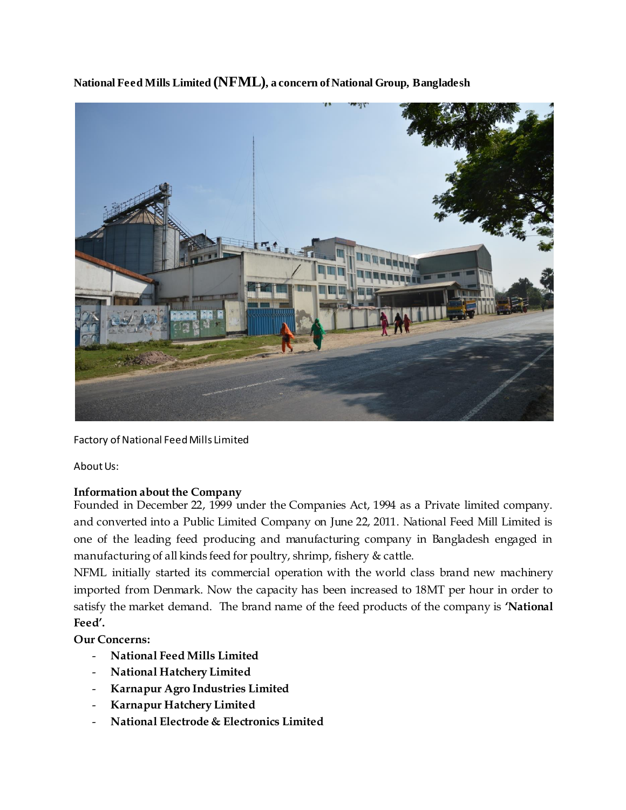

**National Feed Mills Limited (NFML), a concern of National Group, Bangladesh**

Factory of National Feed Mills Limited

About Us:

## **Information about the Company**

Founded in December 22, 1999 under the Companies Act, 1994 as a Private limited company. and converted into a Public Limited Company on June 22, 2011. National Feed Mill Limited is one of the leading feed producing and manufacturing company in Bangladesh engaged in manufacturing of all kinds feed for poultry, shrimp, fishery & cattle.

NFML initially started its commercial operation with the world class brand new machinery imported from Denmark. Now the capacity has been increased to 18MT per hour in order to satisfy the market demand. The brand name of the feed products of the company is **'National Feed'.**

## **Our Concerns:**

- **National Feed Mills Limited**
- **National Hatchery Limited**
- **Karnapur Agro Industries Limited**
- **Karnapur Hatchery Limited**
- **National Electrode & Electronics Limited**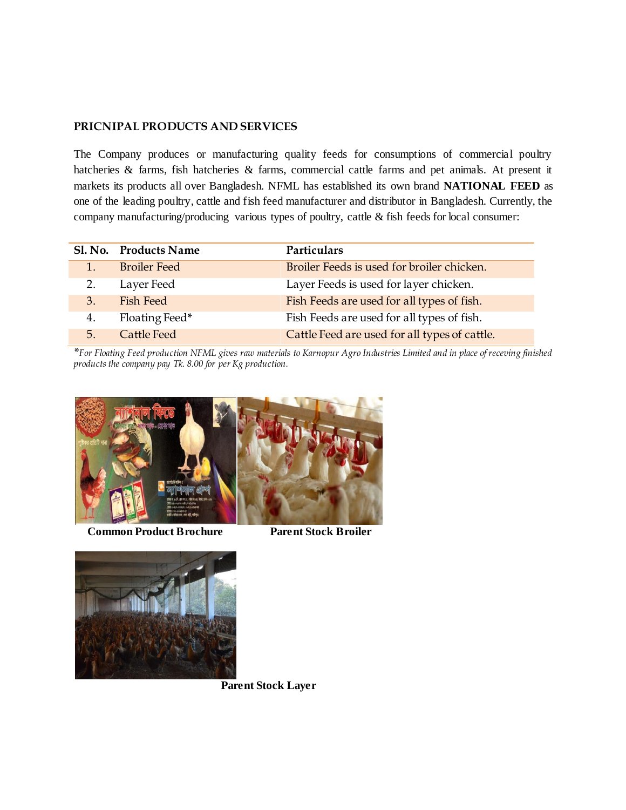### **PRICNIPAL PRODUCTS AND SERVICES**

The Company produces or manufacturing quality feeds for consumptions of commercial poultry hatcheries & farms, fish hatcheries & farms, commercial cattle farms and pet animals. At present it markets its products all over Bangladesh. NFML has established its own brand **NATIONAL FEED** as one of the leading poultry, cattle and fish feed manufacturer and distributor in Bangladesh. Currently, the company manufacturing/producing various types of poultry, cattle & fish feeds for local consumer:

|    | Sl. No. Products Name | Particulars                                   |
|----|-----------------------|-----------------------------------------------|
|    | <b>Broiler Feed</b>   | Broiler Feeds is used for broiler chicken.    |
| 2. | Layer Feed            | Layer Feeds is used for layer chicken.        |
| 3. | Fish Feed             | Fish Feeds are used for all types of fish.    |
| 4. | Floating Feed*        | Fish Feeds are used for all types of fish.    |
| 5. | Cattle Feed           | Cattle Feed are used for all types of cattle. |

*\*For Floating Feed production NFML gives raw materials to Karnopur Agro Industries Limited and in place of receving finished products the company pay Tk. 8.00 for per Kg production.*



 **Common Product Brochure Parent Stock Broiler**



 **Parent Stock Layer**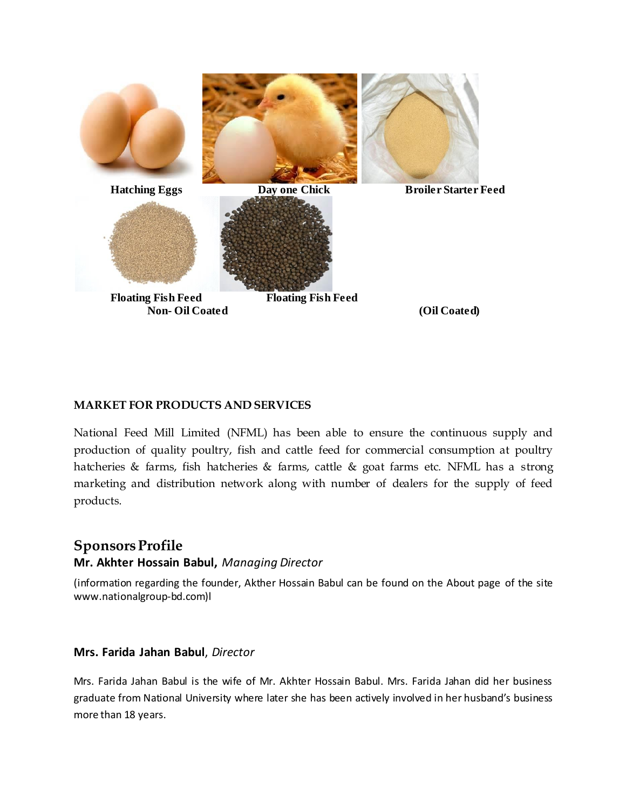

## **MARKET FOR PRODUCTS AND SERVICES**

National Feed Mill Limited (NFML) has been able to ensure the continuous supply and production of quality poultry, fish and cattle feed for commercial consumption at poultry hatcheries & farms, fish hatcheries & farms, cattle & goat farms etc. NFML has a strong marketing and distribution network along with number of dealers for the supply of feed products.

# **Sponsors Profile Mr. Akhter Hossain Babul,** *Managing Director*

(information regarding the founder, Akther Hossain Babul can be found on the About page of the site www.nationalgroup-bd.com)l

#### **Mrs. Farida Jahan Babul**, *Director*

Mrs. Farida Jahan Babul is the wife of Mr. Akhter Hossain Babul. Mrs. Farida Jahan did her business graduate from National University where later she has been actively involved in her husband's business more than 18 years.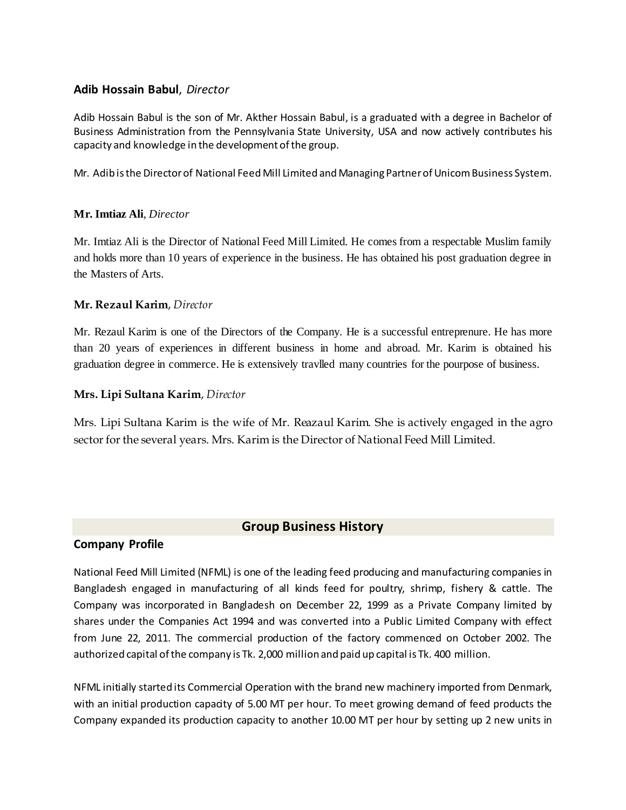### **Adib Hossain Babul**, *Director*

Adib Hossain Babul is the son of Mr. Akther Hossain Babul, is a graduated with a degree in Bachelor of Business Administration from the Pennsylvania State University, USA and now actively contributes his capacity and knowledge in the development of the group.

Mr. Adib is the Director of National Feed Mill Limited and Managing Partner of Unicom Business System.

#### **Mr. Imtiaz Ali**, *Director*

Mr. Imtiaz Ali is the Director of National Feed Mill Limited. He comes from a respectable Muslim family and holds more than 10 years of experience in the business. He has obtained his post graduation degree in the Masters of Arts.

#### **Mr. Rezaul Karim**, *Director*

Mr. Rezaul Karim is one of the Directors of the Company. He is a successful entreprenure. He has more than 20 years of experiences in different business in home and abroad. Mr. Karim is obtained his graduation degree in commerce. He is extensively travlled many countries for the pourpose of business.

#### **Mrs. Lipi Sultana Karim**, *Director*

Mrs. Lipi Sultana Karim is the wife of Mr. Reazaul Karim. She is actively engaged in the agro sector for the several years. Mrs. Karim is the Director of National Feed Mill Limited.

## **Group Business History**

### **Company Profile**

National Feed Mill Limited (NFML) is one of the leading feed producing and manufacturing companies in Bangladesh engaged in manufacturing of all kinds feed for poultry, shrimp, fishery & cattle. The Company was incorporated in Bangladesh on December 22, 1999 as a Private Company limited by shares under the Companies Act 1994 and was converted into a Public Limited Company with effect from June 22, 2011. The commercial production of the factory commenced on October 2002. The authorized capital of the company is Tk. 2,000 million and paid up capital is Tk. 400 million.

NFML initially started its Commercial Operation with the brand new machinery imported from Denmark, with an initial production capacity of 5.00 MT per hour. To meet growing demand of feed products the Company expanded its production capacity to another 10.00 MT per hour by setting up 2 new units in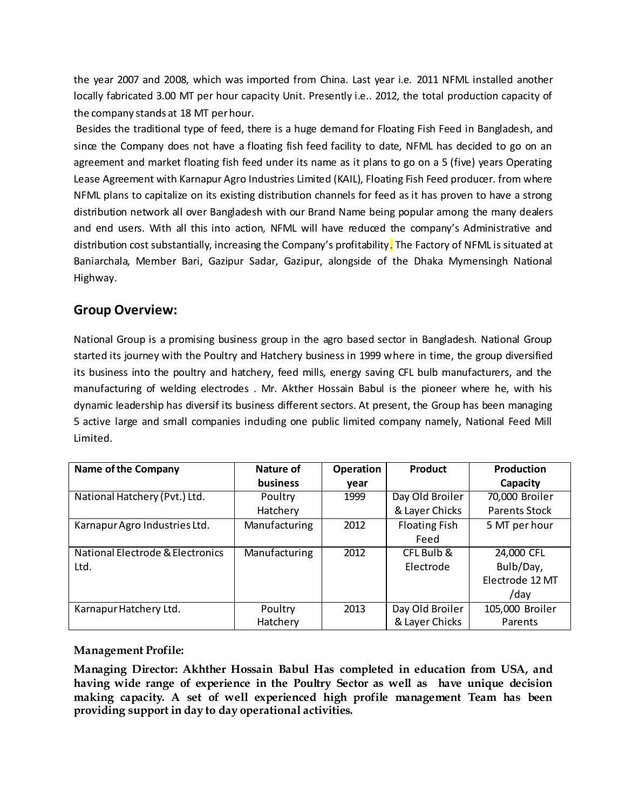the year 2007 and 2008, which was imported from China. Last year i.e. 2011 NFML installed another locally fabricated 3.00 MT per hour capacity Unit. Presently i.e.. 2012, the total production capacity of the company stands at 18 MT per hour.

Besides the traditional type of feed, there is a huge demand for Floating Fish Feed in Bangladesh, and since the Company does not have a floating fish feed facility to date, NFML has decided to go on an agreement and market floating fish feed under its name as it plans to go on a 5 (five) years Operating Lease Agreement with Karnapur Agro Industries Limited (KAIL), Floating Fish Feed producer. from where NFML plans to capitalize on its existing distribution channels for feed as it has proven to have a strong distribution network all over Bangladesh with our Brand Name being popular among the many dealers and end users. With all this into action, NFML will have reduced the company's Administrative and distribution cost substantially, increasing the Company's profitability. The Factory of NFML is situated at Baniarchala, Member Bari, Gazipur Sadar, Gazipur, alongside of the Dhaka Mymensingh National Highway.

# **Group Overview:**

National Group is a promising business group in the agro based sector in Bangladesh. National Group started its journey with the Poultry and Hatchery business in 1999 where in time, the group diversified its business into the poultry and hatchery, feed mills, energy saving CFL bulb manufacturers, and the manufacturing of welding electrodes . Mr. Akther Hossain Babul is the pioneer where he, with his dynamic leadership has diversif its business different sectors. At present, the Group has been managing 5 active large and small companies induding one public limited company namely, National Feed Mill Limited.

| <b>Name of the Company</b>       | Nature of       | Operation | <b>Product</b>       | <b>Production</b>    |
|----------------------------------|-----------------|-----------|----------------------|----------------------|
|                                  | <b>business</b> | year      |                      | Capacity             |
| National Hatchery (Pvt.) Ltd.    | Poultry         | 1999      | Day Old Broiler      | 70,000 Broiler       |
|                                  | Hatchery        |           | & Layer Chicks       | <b>Parents Stock</b> |
| Karnapur Agro Industries Ltd.    | Manufacturing   | 2012      | <b>Floating Fish</b> | 5 MT per hour        |
|                                  |                 |           | Feed                 |                      |
| National Electrode & Electronics | Manufacturing   | 2012      | CFL Bulb &           | 24,000 CFL           |
| Ltd.                             |                 |           | Electrode            | Bulb/Day,            |
|                                  |                 |           |                      | Electrode 12 MT      |
|                                  |                 |           |                      | /day                 |
| Karnapur Hatchery Ltd.           | Poultry         | 2013      | Day Old Broiler      | 105,000 Broiler      |
|                                  | Hatchery        |           | & Layer Chicks       | Parents              |

## **Management Profile:**

**Managing Director: Akhther Hossain Babul Has completed in education from USA, and having wide range of experience in the Poultry Sector as well as have unique decision making capacity. A set of well experienced high profile management Team has been providing support in day to day operational activities.**